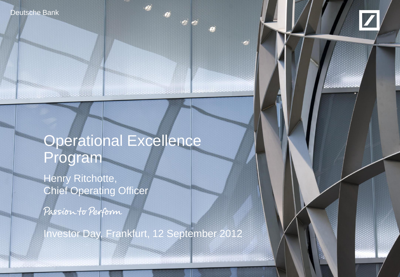**Deutsche Bank** 

**MARINE AND AND ARREST** 



# Operational Excellence Program

Henry Ritchotte, Chief Operating Officer

Passion to Perform

Investor Day, Frankfurt, 12 September 2012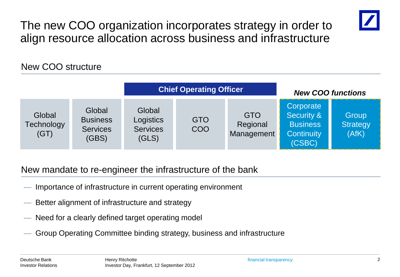The new COO organization incorporates strategy in order to align resource allocation across business and infrastructure



#### New COO structure

|                              |                                                       |                                                 | <b>Chief Operating Officer</b> |                                      | <b>New COO functions</b>                                                  |                                   |  |  |
|------------------------------|-------------------------------------------------------|-------------------------------------------------|--------------------------------|--------------------------------------|---------------------------------------------------------------------------|-----------------------------------|--|--|
| Global<br>Technology<br>(GT) | Global<br><b>Business</b><br><b>Services</b><br>(GBS) | Global<br>Logistics<br><b>Services</b><br>(GLS) | <b>GTO</b><br><b>COO</b>       | <b>GTO</b><br>Regional<br>Management | Corporate<br>Security &<br><b>Business</b><br><b>Continuity</b><br>(CSBC) | Group<br><b>Strategy</b><br>(AfK) |  |  |

#### New mandate to re-engineer the infrastructure of the bank

- Importance of infrastructure in current operating environment
- Better alignment of infrastructure and strategy
- Need for a clearly defined target operating model
- Group Operating Committee binding strategy, business and infrastructure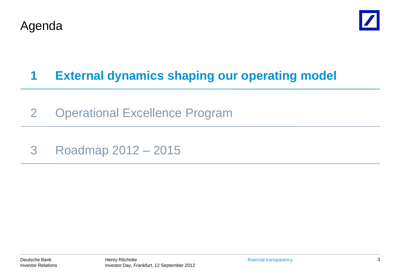



## **1 External dynamics shaping our operating model**

- 2 Operational Excellence Program
- 3 Roadmap 2012 2015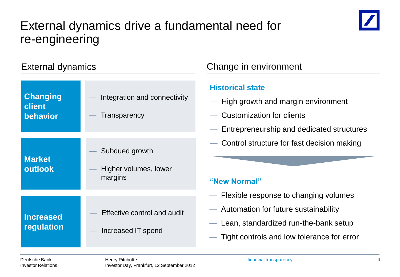#### External dynamics drive a fundamental need for re-engineering



| <b>External dynamics</b>              |                                                    | Change in environment                                                                                                |
|---------------------------------------|----------------------------------------------------|----------------------------------------------------------------------------------------------------------------------|
| <b>Changing</b><br>client<br>behavior | Integration and connectivity<br>Transparency       | <b>Historical state</b><br>— High growth and margin<br><b>Customization for clients</b><br>- Entrepreneurship and de |
| <b>Market</b><br>outlook              | Subdued growth<br>Higher volumes, lower<br>margins | - Control structure for fast<br>"New Normal"                                                                         |
| <b>Increased</b><br>regulation        | Effective control and audit<br>Increased IT spend  | - Flexible response to cha<br>Automation for future su<br>- Lean, standardized run-<br>Tight controls and low to     |

- h and margin environment
- ion for clients
- urship and dedicated structures
- icture for fast decision making

- ponse to changing volumes
- for future sustainability
- lardized run-the-bank setup
- ls and low tolerance for error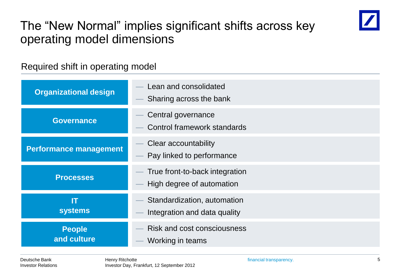

### The "New Normal" implies significant shifts across key operating model dimensions

#### Required shift in operating model

| <b>Organizational design</b>  | Lean and consolidated<br>Sharing across the bank            |  |  |  |
|-------------------------------|-------------------------------------------------------------|--|--|--|
| <b>Governance</b>             | Central governance<br><b>Control framework standards</b>    |  |  |  |
| <b>Performance management</b> | Clear accountability<br>Pay linked to performance           |  |  |  |
| <b>Processes</b>              | True front-to-back integration<br>High degree of automation |  |  |  |
| m<br><b>systems</b>           | Standardization, automation<br>Integration and data quality |  |  |  |
| <b>People</b><br>and culture  | <b>Risk and cost consciousness</b><br>Working in teams      |  |  |  |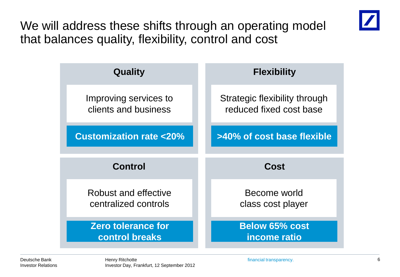We will address these shifts through an operating model that balances quality, flexibility, control and cost

| <b>Quality</b>                                | <b>Flexibility</b>                                       |  |  |  |  |  |
|-----------------------------------------------|----------------------------------------------------------|--|--|--|--|--|
| Improving services to<br>clients and business | Strategic flexibility through<br>reduced fixed cost base |  |  |  |  |  |
| <b>Customization rate &lt;20%</b>             | >40% of cost base flexible                               |  |  |  |  |  |
|                                               |                                                          |  |  |  |  |  |
| Control                                       | Cost                                                     |  |  |  |  |  |
| Robust and effective<br>centralized controls  | Become world<br>class cost player                        |  |  |  |  |  |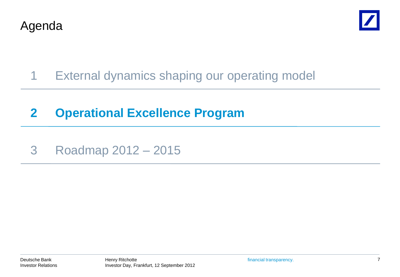



- 1 External dynamics shaping our operating model
- **2 Operational Excellence Program**
- 3 Roadmap 2012 2015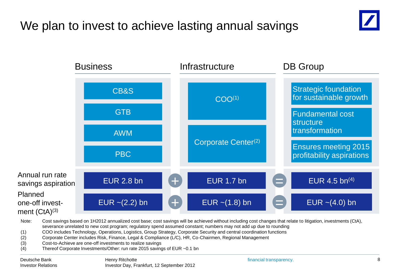## We plan to invest to achieve lasting annual savings





Note: Cost savings based on 1H2012 annualized cost base; cost savings will be achieved without including cost changes that relate to litigation, investments (CtA), severance unrelated to new cost program; regulatory spend assumed constant; numbers may not add up due to rounding (1) COO includes Technology, Operations, Logistics, Group Strategy, Corporate Security and central coordination functions

- (2) Corporate Center includes Risk, Finance, Legal & Compliance (L/C), HR, Co-Chairmen, Regional Management
- (3) Cost-to-Achieve are one-off investments to realize savings
- (4) Thereof Corporate Investments/Other: run rate 2015 savings of EUR ~0.1 bn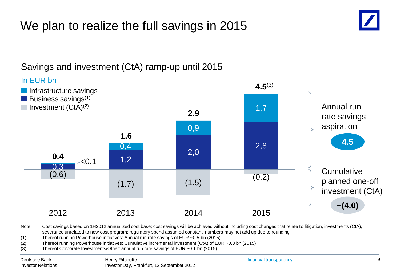## We plan to realize the full savings in 2015



#### **4.5 ~(4.0)** Annual run rate savings aspiration **Cumulative** planned one-off investment (CtA) 0,3 1,2 2,0 2,8  $\sim$  0.1 0,4 0,9 1,7 (0.6)  $(1.7)$   $(1.5)$   $(0.2)$ 2012 2013 2014 2015 In EUR bn **4.5**(3) **0.4 1.6 2.9 Business savings**<sup>(1)</sup> **Infrastructure savings**  $\Box$  Investment (CtA)<sup>(2)</sup>

#### Savings and investment (CtA) ramp-up until 2015

Note: Cost savings based on 1H2012 annualized cost base; cost savings will be achieved without including cost changes that relate to litigation, investments (CtA), severance unrelated to new cost program; regulatory spend assumed constant; numbers may not add up due to rounding

- (1) Thereof running Powerhouse initiatives: Annual run rate savings of EUR ~0.5 bn (2015)
- (2) Thereof running Powerhouse initiatives: Cumulative incremental investment (CtA) of EUR ~0.8 bn (2015)
- (3) Thereof Corporate Investments/Other: annual run rate savings of EUR ~0.1 bn (2015)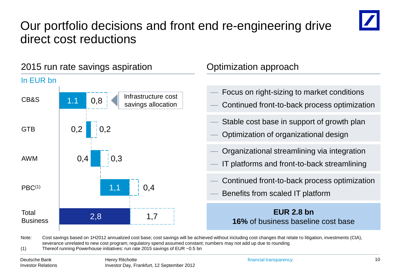## Our portfolio decisions and front end re-engineering drive direct cost reductions





Note: Cost savings based on 1H2012 annualized cost base; cost savings will be achieved without including cost changes that relate to litigation, investments (CtA), severance unrelated to new cost program; regulatory spend assumed constant; numbers may not add up due to rounding (1) Thereof running Powerhouse initiatives: run rate 2015 savings of EUR ~0.5 bn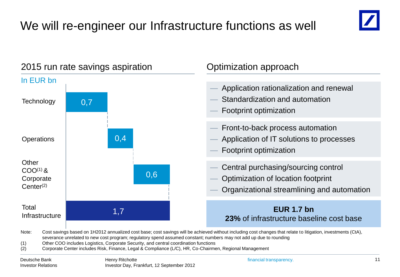# We will re-engineer our Infrastructure functions as well



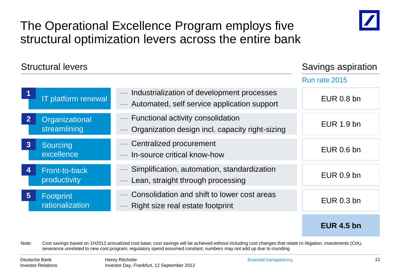

#### The Operational Excellence Program employs five structural optimization levers across the entire bank

|                | <b>Structural levers</b>       |                                                                                           | Savings aspiration |
|----------------|--------------------------------|-------------------------------------------------------------------------------------------|--------------------|
|                |                                |                                                                                           | Run rate 2015      |
|                | IT platform renewal            | Industrialization of development processes<br>Automated, self service application support | <b>EUR 0.8 bn</b>  |
|                | Organizational<br>streamlining | Functional activity consolidation<br>Organization design incl. capacity right-sizing      | EUR 1.9 bn         |
| $\overline{3}$ | Sourcing<br>excellence         | Centralized procurement<br>In-source critical know-how                                    | <b>EUR 0.6 bn</b>  |
| 4              | Front-to-back<br>productivity  | Simplification, automation, standardization<br>Lean, straight through processing          | <b>EUR 0.9 bn</b>  |
| 5 <sup>5</sup> | Footprint<br>rationalization   | Consolidation and shift to lower cost areas<br>Right size real estate footprint           | <b>EUR 0.3 bn</b>  |
|                |                                |                                                                                           | <b>EUR 4.5 bn</b>  |

Note: Cost savings based on 1H2012 annualized cost base; cost savings will be achieved without including cost changes that relate to litigation, investments (CtA), severance unrelated to new cost program; regulatory spend assumed constant; numbers may not add up due to rounding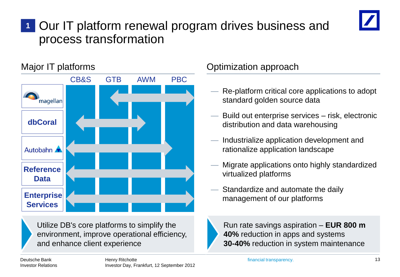#### Our IT platform renewal program drives business and process transformation **1**





Utilize DB's core platforms to simplify the environment, improve operational efficiency, and enhance client experience

#### Major IT platforms **Contract Contract Contract Contract** Optimization approach

- Re-platform critical core applications to adopt standard golden source data
- Build out enterprise services risk, electronic distribution and data warehousing
- Industrialize application development and rationalize application landscape
- Migrate applications onto highly standardized virtualized platforms
- Standardize and automate the daily management of our platforms

Run rate savings aspiration – **EUR 800 m 40%** reduction in apps and systems **30-40%** reduction in system maintenance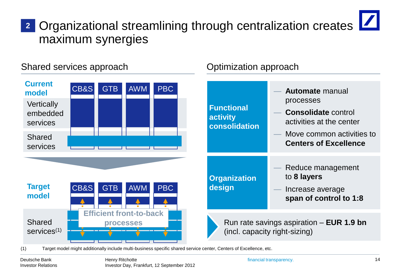## Organizational streamlining through centralization creates **2**maximum synergies



(1) Target model might additionally include multi-business specific shared service center, Centers of Excellence, etc.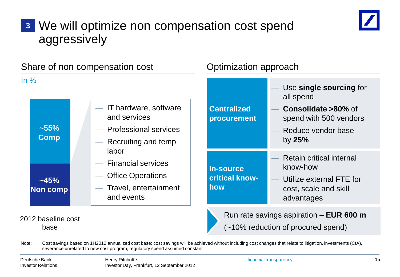## We will optimize non compensation cost spend **3** aggressively



|                       | Share of non compensation cost                                                                     | Optimization approach                     |                                                                                                                |  |  |  |
|-----------------------|----------------------------------------------------------------------------------------------------|-------------------------------------------|----------------------------------------------------------------------------------------------------------------|--|--|--|
| $\ln \frac{9}{6}$     |                                                                                                    |                                           | Use single sourcing for<br>all spend                                                                           |  |  |  |
| $-55%$<br><b>Comp</b> | - IT hardware, software<br>and services<br>- Professional services<br>- Recruiting and temp        | <b>Centralized</b><br>procurement         | Consolidate >80% of<br>spend with 500 vendors<br>Reduce vendor base<br>by $25%$                                |  |  |  |
| ~145%<br>Non comp     | labor<br>- Financial services<br><b>Office Operations</b><br>- Travel, entertainment<br>and events | <b>In-source</b><br>critical know-<br>how | <b>Retain critical internal</b><br>know-how<br>Utilize external FTE for<br>cost, scale and skill<br>advantages |  |  |  |
| 2012 baseline cost    |                                                                                                    |                                           | Run rate savings aspiration $-$ EUR 600 m                                                                      |  |  |  |

base

Note: Cost savings based on 1H2012 annualized cost base; cost savings will be achieved without including cost changes that relate to litigation, investments (CtA), severance unrelated to new cost program; regulatory spend assumed constant

Deutsche Bank Investor Relations (~10% reduction of procured spend)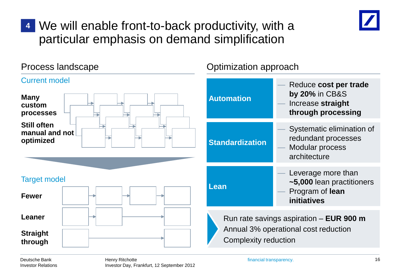

## We will enable front-to-back productivity, with a **4**particular emphasis on demand simplification

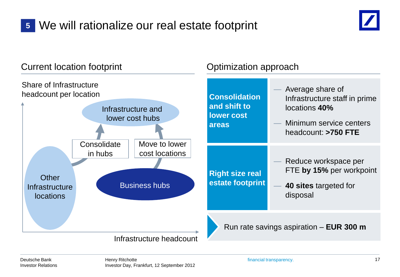## We will rationalize our real estate footprint **5**



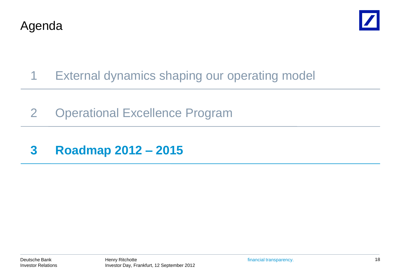



- 1 External dynamics shaping our operating model
- 2 Operational Excellence Program
- **3 Roadmap 2012 – 2015**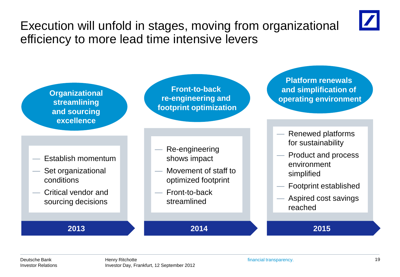

Execution will unfold in stages, moving from organizational efficiency to more lead time intensive levers

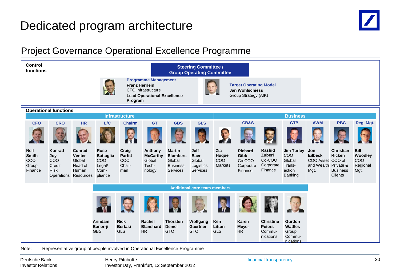#### Dedicated program architecture



#### Project Governance Operational Excellence Programme

| <b>Control</b><br>functions                            | <b>Steering Committee /</b><br><b>Group Operating Committee</b>          |                                                              |                                                                                                                                                                                                                       |                                                 |                                                         |                                                                           |                                                               |                                                   |                                                          |                                                          |                                                                   |                                                                           |                                                                 |                                            |
|--------------------------------------------------------|--------------------------------------------------------------------------|--------------------------------------------------------------|-----------------------------------------------------------------------------------------------------------------------------------------------------------------------------------------------------------------------|-------------------------------------------------|---------------------------------------------------------|---------------------------------------------------------------------------|---------------------------------------------------------------|---------------------------------------------------|----------------------------------------------------------|----------------------------------------------------------|-------------------------------------------------------------------|---------------------------------------------------------------------------|-----------------------------------------------------------------|--------------------------------------------|
|                                                        |                                                                          |                                                              | <b>Programme Management</b><br><b>Target Operating Model</b><br><b>Franz Herrlein</b><br><b>CFO</b> Infrastructure<br><b>Jan Wohlschiess</b><br>Group Strategy (AfK)<br><b>Lead Operational Excellence</b><br>Program |                                                 |                                                         |                                                                           |                                                               |                                                   |                                                          |                                                          |                                                                   |                                                                           |                                                                 |                                            |
|                                                        | <b>Operational functions</b><br><b>Business</b><br><b>Infrastructure</b> |                                                              |                                                                                                                                                                                                                       |                                                 |                                                         |                                                                           |                                                               |                                                   |                                                          |                                                          |                                                                   |                                                                           |                                                                 |                                            |
| <b>CFO</b>                                             | <b>CRO</b>                                                               | <b>HR</b>                                                    | L/C                                                                                                                                                                                                                   | Chairm.                                         | <b>GT</b>                                               | <b>GBS</b>                                                                | <b>GLS</b>                                                    |                                                   | <b>CB&amp;S</b>                                          |                                                          | <b>GTB</b>                                                        | <b>AWM</b>                                                                | <b>PBC</b>                                                      | Reg. Mgt.                                  |
|                                                        |                                                                          |                                                              |                                                                                                                                                                                                                       | 13                                              |                                                         |                                                                           |                                                               |                                                   |                                                          |                                                          |                                                                   | $\mathbb{E}$                                                              |                                                                 |                                            |
| <b>Neil</b><br><b>Smith</b><br>COO<br>Group<br>Finance | Konrad<br>Joy<br>COO<br>Credit<br><b>Risk</b><br>Operations Resources    | <b>Conrad</b><br><b>Venter</b><br>Global<br>Head of<br>Human | <b>Rose</b><br><b>Battaglia</b><br>COO<br>Legal/<br>Com-<br>pliance                                                                                                                                                   | Craig<br><b>Parfitt</b><br>COO<br>Chair-<br>man | Anthony<br><b>McCarthy</b><br>Global<br>Tech-<br>nology | <b>Martin</b><br><b>Slumbers</b><br>Global<br><b>Business</b><br>Services | <b>Jeff</b><br><b>Baer</b><br>Global<br>Logistics<br>Services | Zia<br>Huque<br>CO <sub>O</sub><br><b>Markets</b> | <b>Richard</b><br>Gibb<br>Co-COO<br>Corporate<br>Finance | Rashid<br>Zuberi<br>Co-COO<br>Corporate<br>Finance       | <b>Jim Turley</b><br>COO<br>Global<br>Trans-<br>action<br>Banking | Jon<br><b>Eilbeck</b><br>COO Asset COO of<br>and Wealth Private &<br>Mgt. | <b>Christian</b><br><b>Ricken</b><br><b>Business</b><br>Clients | Bill<br>Woodley<br>COO<br>Regional<br>Mgt. |
|                                                        |                                                                          |                                                              |                                                                                                                                                                                                                       |                                                 |                                                         |                                                                           | <b>Additional core team members</b>                           |                                                   |                                                          |                                                          |                                                                   |                                                                           |                                                                 |                                            |
|                                                        |                                                                          |                                                              |                                                                                                                                                                                                                       |                                                 |                                                         |                                                                           | <b>PARTIES</b>                                                |                                                   |                                                          |                                                          |                                                                   |                                                                           |                                                                 |                                            |
|                                                        |                                                                          |                                                              | <b>Arindam</b><br><b>Banerrji</b><br><b>GBS</b>                                                                                                                                                                       | <b>Rick</b><br><b>Bertasi</b><br><b>GLS</b>     | Rachel<br><b>Blanshard</b><br>HR                        | <b>Thorsten</b><br><b>Demel</b><br><b>GTO</b>                             | Wolfgang<br><b>Gaertner</b><br><b>GTO</b>                     | Ken<br>Litton<br><b>GLS</b>                       | Karen<br><b>Meyer</b><br><b>HR</b>                       | <b>Christine</b><br><b>Peters</b><br>Commu-<br>nications | Gurdon<br><b>Wattles</b><br>Group<br>Commu-<br>nications          |                                                                           |                                                                 |                                            |

Note: Representative group of people involved in Operational Excellence Programme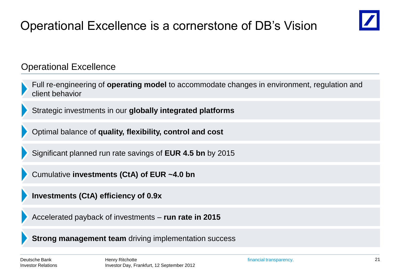## Operational Excellence is a cornerstone of DB's Vision



Operational Excellence

Full re-engineering of **operating model** to accommodate changes in environment, regulation and client behavior

Strategic investments in our **globally integrated platforms**

Optimal balance of **quality, flexibility, control and cost**

Significant planned run rate savings of **EUR 4.5 bn** by 2015

Cumulative **investments (CtA) of EUR ~4.0 bn**

**Investments (CtA) efficiency of 0.9x**

Accelerated payback of investments – **run rate in 2015**

**Strong management team** driving implementation success